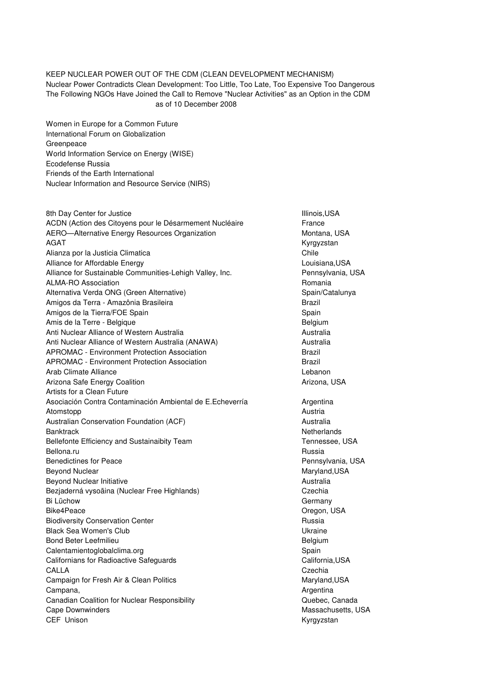## KEEP NUCLEAR POWER OUT OF THE CDM (CLEAN DEVELOPMENT MECHANISM) Nuclear Power Contradicts Clean Development: Too Little, Too Late, Too Expensive Too Dangerous The Following NGOs Have Joined the Call to Remove "Nuclear Activities" as an Option in the CDM

as of 10 December 2008

Women in Europe for a Common Future International Forum on Globalization Greenpeace World Information Service on Energy (WISE) Ecodefense Russia Friends of the Earth International Nuclear Information and Resource Service (NIRS)

8th Day Center for Justice **Internal and Struck and Struck and Struck** Illinois,USA ACDN (Action des Citoyens pour le Désarmement Nucléaire France AERO—Alternative Energy Resources Organization Montana, USA AGAT Kyrgyzstan Kyrgyzstan Kyrgyzstan Kyrgyzstan Kyrgyzstan Kyrgyzstan Kyrgyzstan Kyrgyzstan Kyrgyzstan Kyrgyzstan Kyrgyzstan Kyrgyzstan Kyrgyzstan Kyrgyzstan Kyrgyzstan Kyrgyzstan Kyrgyzstan Kyrgyzstan Kyrgyzstan Kyrgyzst Alianza por la Justicia Climatica Chile Chile Chile Alliance for Affordable Energy **Alliance for Affordable Energy Louisiana**, USA Alliance for Sustainable Communities-Lehigh Valley, Inc. Pennsylvania, USA ALMA-RO Association **Romania** Romania Alternativa Verda ONG (Green Alternative) Spain/Catalunya Amigos da Terra - Amazônia Brasileira broadennos estados en Brazil Amigos de la Tierra/FOE Spain Amis de la Terre - Belgique **Belgium** Belgium Anti Nuclear Alliance of Western Australia **Australia** Australia Anti Nuclear Alliance of Western Australia (ANAWA) Australia APROMAC - Environment Protection Association **Brazil** Brazil APROMAC - Environment Protection Association **Brazil** Brazil Arab Climate Alliance **Lebanon** Climate Alliance **Lebanon** Arizona Safe Energy Coalition **Arizona, USA** Arizona, USA Artists for a Clean Future Asociación Contra Contaminación Ambiental de E.Echeverría **Argentina** Atomstopp **Austria** Austria **Austria Austria Austria Austria Austria** Australian Conservation Foundation (ACF) Material Australia Banktrack **Netherlands** Netherlands **Netherlands** Bellefonte Efficiency and Sustainaibity Team Tennessee, USA Bellona.ru Russia Benedictines for Peace **Peace According to Pennsylvania**, USA Beyond Nuclear Maryland, USA and Contract the Maryland, USA and Maryland, USA and Maryland, USA Beyond Nuclear Initiative **Australia Australia Australia** Bezjaderná vysoãina (Nuclear Free Highlands) Czechia Bi Lüchow Germany Bike4Peace Oregon, USA Biodiversity Conservation Center **Russia** Russia Black Sea Women's Club Ukraine Bond Beter Leefmilieu **Belgium** Belgium Belgium Calentamientoglobalclima.org Spain Californians for Radioactive Safeguards California, USA CALLA Czechia Campaign for Fresh Air & Clean Politics **Maryland, USA** Maryland, USA Campana, **Argentina**, **Campana, Argentina** Canadian Coalition for Nuclear Responsibility Canada Coalition for Nuclear Responsibility Cape Downwinders **Massachusetts, USA** CEF Unison **Kyrgyzstan**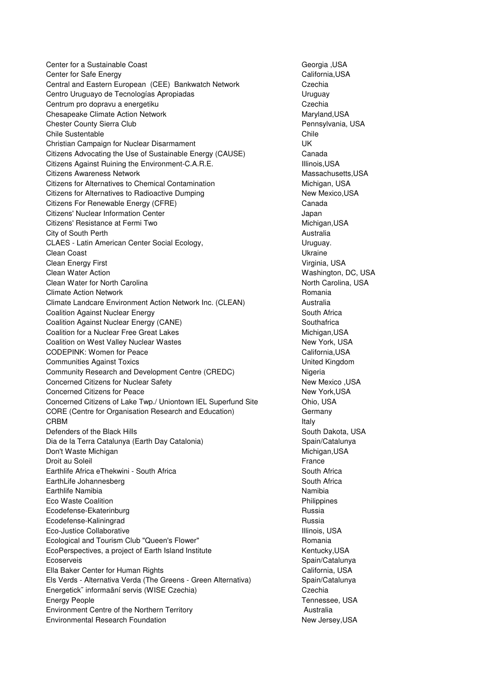Center for a Sustainable Coast Communication of the Control of Center for a Sustainable Coast Communication of Center Sustainable Coast Communication of Georgia ,USA Center for Safe Energy California,USA Central and Eastern European (CEE) Bankwatch Network Czechia Centro Uruguayo de Tecnologías Apropiadas **Internatival e a Contra Contra Cruguay** Centrum pro dopravu a energetiku Czechia Czechia Chesapeake Climate Action Network Maryland, USA Chester County Sierra Club **Pennsylvania, USA** Chile Sustentable Chile Christian Campaign for Nuclear Disarmament UK Citizens Advocating the Use of Sustainable Energy (CAUSE) Canada Citizens Against Ruining the Environment-C.A.R.E. **Illinois,USA** Citizens Awareness Network Massachusetts, USA Citizens for Alternatives to Chemical Contamination Michigan, USA Citizens for Alternatives to Radioactive Dumping New Mexico, USA Citizens For Renewable Energy (CFRE) Canada Citizens' Nuclear Information Center Japan Citizens' Resistance at Fermi Two **Michigan, USA** Michigan, USA City of South Perth **Australia Australia Australia** CLAES - Latin American Center Social Ecology, The CLAES - Latin American Center Social Ecology, Clean Coast Ukraine Clean Energy First **Virginia, USA** Clean Water Action **Washington, DC, USA** Clean Water for North Carolina North Carolina, USA Climate Action Network **Romania** Romania Climate Landcare Environment Action Network Inc. (CLEAN) Australia Coalition Against Nuclear Energy South Africa Coalition Against Nuclear Energy (CANE) Southafrica Coalition for a Nuclear Free Great Lakes Michigan, USA Coalition on West Valley Nuclear Wastes New York, USA CODEPINK: Women for Peace California,USA Communities Against Toxics United Kingdom Community Research and Development Centre (CREDC) Nigeria Concerned Citizens for Nuclear Safety New Mexico ,USA Concerned Citizens for Peace New York, USA Concerned Citizens of Lake Twp./ Uniontown IEL Superfund Site Ohio, USA CORE (Centre for Organisation Research and Education) Germany **CRBM** Italy in the contract of the contract of the contract of the contract of the contract of the contract of the contract of the contract of the contract of the contract of the contract of the contract of the contract o Defenders of the Black Hills South Dakota, USA Dia de la Terra Catalunya (Earth Day Catalonia) Spain/Catalunya Don't Waste Michigan Michigan Michigan, USA Droit au Soleil **France** Earthlife Africa eThekwini - South Africa South Africa South Africa EarthLife Johannesberg South Africa Earthlife Namibia **Namibia** Namibia Namibia na katalana amibia na katalana na katalana na katalana na katalana na katalana na katalana na katalana na katalana na katalana na katalana na katalana na katalana na katalana na Eco Waste Coalition Philippines Ecodefense-Ekaterinburg **Russia** Russia Ecodefense-Kaliningrad Russia Russia Eco-Justice Collaborative **Illinois**, USA Ecological and Tourism Club "Queen's Flower" examples and Tourism Club Avenue Romania EcoPerspectives, a project of Earth Island Institute Kentucky, USA Ecoserveis **Spain/Catalunya** Spain/Catalunya Ella Baker Center for Human Rights California, USA Els Verds - Alternativa Verda (The Greens - Green Alternativa) Spain/Catalunya Energetick˘ informaãní servis (WISE Czechia) Czechia Energy People Tennessee, USA Environment Centre of the Northern Territory **Australia** Australia Environmental Research Foundation New Jersey, USA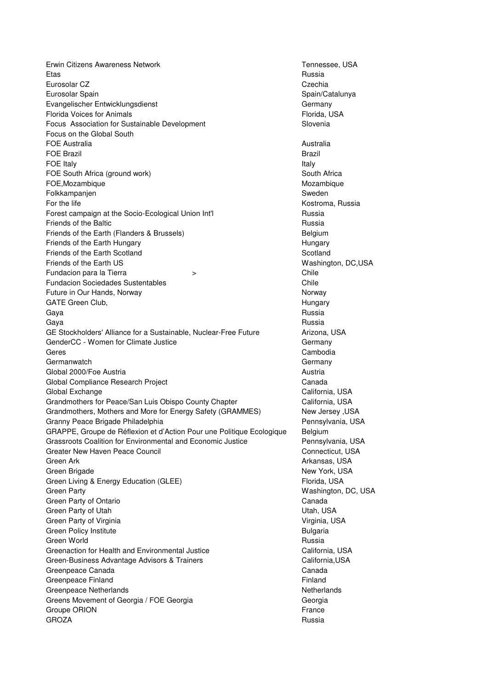Erwin Citizens Awareness Network Tennessee, USA Etas Russia Eurosolar CZ Czechia Eurosolar Spain Spain/Catalunya Evangelischer Entwicklungsdienst Germany Florida Voices for Animals Florida, USA Focus Association for Sustainable Development Contract Contract Slovenia Focus on the Global South FOE Australia **Australia Australia Australia FOE Brazil** Brazil Brazil Brazil Brazil Brazil Brazil Brazil Brazil Brazil Brazil Brazil Brazil Brazil Brazil Brazil Brazil Brazil Brazil Brazil Brazil Brazil Brazil Brazil Brazil Brazil Brazil Brazil Brazil Brazil Brazil **FOE Italy** Italy **Italy** Italy **Italy** Italy **Italy** Italy **Italy** Italy **Italy** Italy **Italy** Italy **Italy** Italy **Italy** Italy **Italy** Italy **Italy** Italy **Italy** Italy **Italy** Italy **Italy** Italy **Italy 1999** FOE South Africa (ground work) South Africa (ground work) FOE, Mozambique et al. 2012 and 2013 and 2013 and 2013 and 2013 and 2013 and 2013 and 2013 and 2013 and 2013 and 2013 and 2013 and 2013 and 2013 and 2013 and 2013 and 2013 and 2013 and 2013 and 2013 and 2013 and 2013 and 2 Folkkampanjen Sweden Sweden Sweden Sweden Sweden Sweden Sweden Sweden Sweden Sweden Sweden Sweden Sweden Sweden For the life Kostroma, Russia Forest campaign at the Socio-Ecological Union Int'l Forest campaign Russia **Friends of the Baltic** Russia **Russia** Russia Friends of the Earth (Flanders & Brussels) Belgium Friends of the Earth Hungary **Hungary Hungary Hungary** Friends of the Earth Scotland Scotland Scotland Scotland Scotland Scotland Scotland Scotland Scotland Scotland Friends of the Earth US **Washington, DC,USA** Fundacion para la Tierra > Chile Fundacion Sociedades Sustentables Chile Future in Our Hands, Norway Norway Norway Norway Norway Norway Norway Norway Norway GATE Green Club, **GATE Green Club, According to the Club** Control of the Club Control of the Club Control of the C Gaya Russia and Santa and Santa and Santa and Santa and Santa and Santa and Santa and Santa and Santa and Santa Gaya Russia and Santa and Santa and Santa and Santa and Santa and Santa and Santa and Santa and Santa and Santa GE Stockholders' Alliance for a Sustainable, Nuclear-Free Future **Arizona**, USA GenderCC - Women for Climate Justice Germany Communication of Germany Geres Cambodia Germanwatch Germany Communication of the Communication of the Communication of Germany Global 2000/Foe Austria **Austria Austria** Austria Austria Austria Austria Austria Austria Global Compliance Research Project **Canada** Canada Global Exchange California, USA Grandmothers for Peace/San Luis Obispo County Chapter The California, USA Grandmothers, Mothers and More for Energy Safety (GRAMMES) New Jersey , USA Granny Peace Brigade Philadelphia **Pennsylvania**, USA GRAPPE, Groupe de Réflexion et d'Action Pour une Politique Ecologique Belgium Grassroots Coalition for Environmental and Economic Justice Pennsylvania, USA Greater New Haven Peace Council Connecticut, USA Green Ark **Arkansas, USA** Arkansas, USA Green Brigade New York, USA Green Living & Energy Education (GLEE) Green Horida, USA Green Party **Mathematic Contract Contract Contract Contract Contract Contract Contract Contract Contract Contract Contract Contract Contract Contract Contract Contract Contract Contract Contract Contract Contract Contract** Green Party of Ontario **Canada** Canada Canada Green Party of Utah **Utah** Utah, USA Green Party of Virginia Virginia Virginia, USA Green Policy Institute **Bulgaria** Bulgaria Green World **Russia** Greenaction for Health and Environmental Justice California, USA Green-Business Advantage Advisors & Trainers California, California, USA Greenpeace Canada **Canada** Canada Canada Canada Canada Canada Canada Canada Canada Canada Canada Canada Canada Greenpeace Finland **Findand Finland** Greenpeace Netherlands Netherlands Netherlands Netherlands Netherlands Netherlands Netherlands Netherlands Netherlands Netherlands Netherlands Netherlands Netherlands Netherlands Netherlands Netherlands Netherlands Netherl Greens Movement of Georgia / FOE Georgia decrees and Georgia Georgia Groupe ORION France GROZA Russia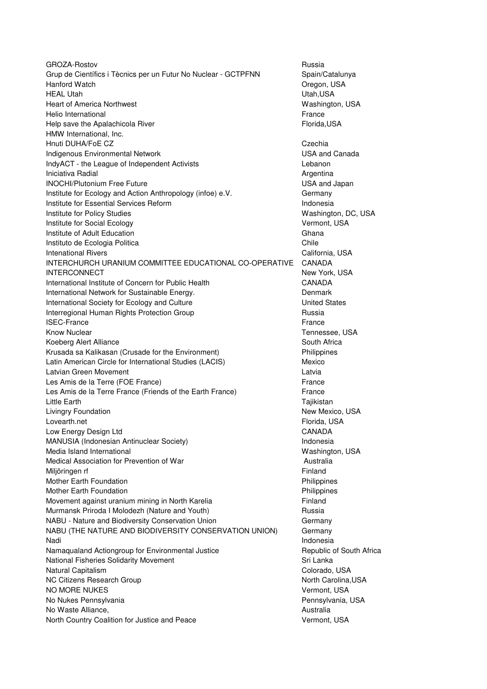GROZA-Rostov **Russia** Grup de Científics i Tècnics per un Futur No Nuclear - GCTPFNN Spain/Catalunya Hanford Watch Oregon, USA HEAL Utah Utah,USA Heart of America Northwest Washington, USA Helio International **France** Help save the Apalachicola River Florida, USA and The Florida, USA HMW International, Inc. Hnuti DUHA/FoE CZ Czechia Czechia Czechia Czechia Czechia Czechia Czechia Czechia Czechia Czechia Czechia Czechia Indigenous Environmental Network USA and Canada IndyACT - the League of Independent Activists Lebanon Iniciativa Radial **Argentina** Argentina **Argentina** INOCHI/Plutonium Free Future **International Contract Contract COS** USA and Japan Institute for Ecology and Action Anthropology (infoe) e.V. Germany **Institute for Essential Services Reform Indonesia Indonesia** Institute for Policy Studies **Washington, DC, USA** Institute for Social Ecology **Vermont, USA Institute of Adult Education** Ghana Instituto de Ecologia Politica **Chile e a chile e a chile chile chile** Chile Intenational Rivers California, USA INTERCHURCH URANIUM COMMITTEE EDUCATIONAL CO-OPERATIVE CANADA INTERCONNECT New York, USA International Institute of Concern for Public Health CANADA International Network for Sustainable Energy. The Contract of the Denmark International Society for Ecology and Culture Theorem Controller Controller United States Interregional Human Rights Protection Group **Russia** Russia **ISEC-France** France **France** France **France** France **France** France **France** Know Nuclear No. 2006 and the USA and the USA and the USA and the USA and Tennessee, USA Koeberg Alert Alliance **South Africa** South Africa Krusada sa Kalikasan (Crusade for the Environment) Philippines Latin American Circle for International Studies (LACIS) Mexico Latvian Green Movement **Latvia** Latvia Latvia Les Amis de la Terre (FOE France) et al. expression de la Terre et al. expression de la Terre et al. expression Les Amis de la Terre France (Friends of the Earth France) France Little Earth **Tajikistan** Livingry Foundation New Mexico, USA Lovearth.net **Florida, USA** Low Energy Design Ltd **CANADA** MANUSIA (Indonesian Antinuclear Society) Indonesia Media Island International Washington, USA Medical Association for Prevention of War Australia Miljöringen rf **Finland** Mother Earth Foundation **Philippines** Mother Earth Foundation **Philippines Philippines** Movement against uranium mining in North Karelia Finland Murmansk Priroda I Molodezh (Nature and Youth) Russia NABU - Nature and Biodiversity Conservation Union Germany Germany NABU (THE NATURE AND BIODIVERSITY CONSERVATION UNION) Germany Nadi Indonesia Namaqualand Actiongroup for Environmental Justice **Republic of South Africa** National Fisheries Solidarity Movement Sri Lanka Sri Lanka Natural Capitalism Colorado, USA NC Citizens Research Group North Carolina, USA NO MORE NUKES Vermont, USA No Nukes Pennsylvania **Pennsylvania** Pennsylvania, USA No Waste Alliance, and the Contract of the Contract of Australia and Australia North Country Coalition for Justice and Peace Vermont, USA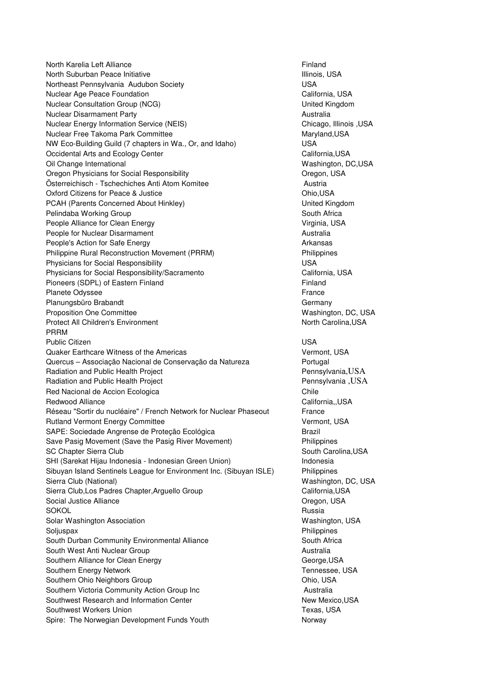North Karelia Left Alliance **Finand Finland** North Suburban Peace Initiative **Internal and Subset Control**llinois, USA Northeast Pennsylvania Audubon Society **WASH CONSTRANTS CONSTRANTS IN THE USA** Nuclear Age Peace Foundation California, USA Nuclear Consultation Group (NCG) United Kingdom Nuclear Disarmament Party **Australia** Australia Nuclear Energy Information Service (NEIS) Chicago, Illinois ,USA Nuclear Free Takoma Park Committee Maryland, Maryland, USA NW Eco-Building Guild (7 chapters in Wa., Or, and Idaho) USA Occidental Arts and Ecology Center California, California, USA Oil Change International Washington, DC,USA Oregon Physicians for Social Responsibility **Construction Construction Construction** Oregon, USA Österreichisch - Tschechiches Anti Atom Komitee Austria Oxford Citizens for Peace & Justice **Ohio, USA** PCAH (Parents Concerned About Hinkley) and the Control of Muslim United Kingdom Pelindaba Working Group South Africa People Alliance for Clean Energy Virginia, USA People for Nuclear Disarmament Australia People's Action for Safe Energy Arkansas Arkansas Philippine Rural Reconstruction Movement (PRRM) Philippines Physicians for Social Responsibility **National State of Lines** USA Physicians for Social Responsibility/Sacramento California, USA Pioneers (SDPL) of Eastern Finland Finland Finland Planete Odyssee France Planungsbüro Brabandt Germany Germany Germany Proposition One Committee Washington, DC, USA Protect All Children's Environment North Carolina, USA PRRM Public Citizen USA Quaker Earthcare Witness of the Americas Vermont, USA Quercus – Associação Nacional de Conservação da Natureza Portugal Radiation and Public Health Project **Pennsylvania, USA** Radiation and Public Health Project **Pennsylvania ,USA** Red Nacional de Accion Ecologica Chile Redwood Alliance **California,** USA Réseau "Sortir du nucléaire" / French Network for Nuclear Phaseout France Rutland Vermont Energy Committee Vermont, USA SAPE: Sociedade Angrense de Proteção Ecológica entra Brazil Save Pasig Movement (Save the Pasig River Movement) Philippines SC Chapter Sierra Club South Carolina, USA SHI (Sarekat Hijau Indonesia - Indonesian Green Union) Indonesia Sibuyan Island Sentinels League for Environment Inc. (Sibuyan ISLE) Philippines Sierra Club (National) Washington, DC, USA Sierra Club,Los Padres Chapter,Arguello Group California, California, USA Social Justice Alliance **Containers** Created a late of the Oregon, USA SOKOL Russia Solar Washington Association Washington, USA Soljuspax **Philippines** Philippines **Philippines** South Durban Community Environmental Alliance South Africa South West Anti Nuclear Group **Australia** Australia Southern Alliance for Clean Energy George, USA George, USA Southern Energy Network Tennessee, USA Southern Ohio Neighbors Group **Chinage Community** Chio, USA Southern Victoria Community Action Group Inc **Australia** Australia Southwest Research and Information Center New York New Mexico, USA Southwest Workers Union Texas, USA Spire: The Norwegian Development Funds Youth Norway